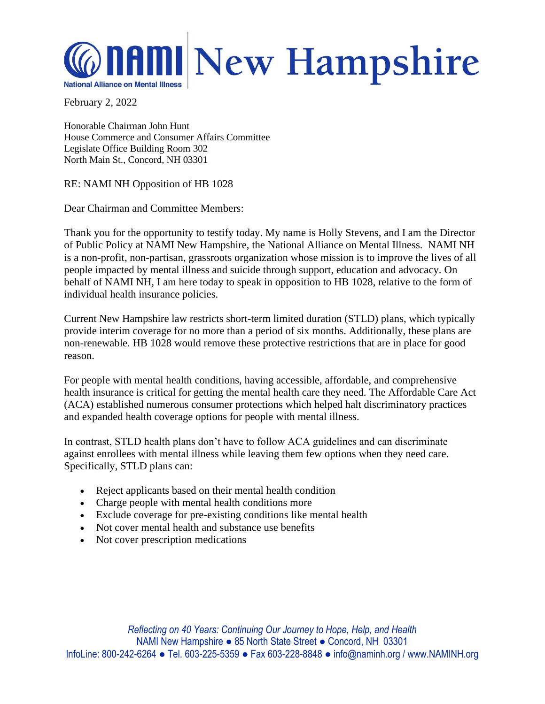

February 2, 2022

Honorable Chairman John Hunt House Commerce and Consumer Affairs Committee Legislate Office Building Room 302 North Main St., Concord, NH 03301

RE: NAMI NH Opposition of HB 1028

Dear Chairman and Committee Members:

Thank you for the opportunity to testify today. My name is Holly Stevens, and I am the Director of Public Policy at NAMI New Hampshire, the National Alliance on Mental Illness. NAMI NH is a non-profit, non-partisan, grassroots organization whose mission is to improve the lives of all people impacted by mental illness and suicide through support, education and advocacy. On behalf of NAMI NH, I am here today to speak in opposition to HB 1028, relative to the form of individual health insurance policies.

Current New Hampshire law restricts short-term limited duration (STLD) plans, which typically provide interim coverage for no more than a period of six months. Additionally, these plans are non-renewable. HB 1028 would remove these protective restrictions that are in place for good reason.

For people with mental health conditions, having accessible, affordable, and comprehensive health insurance is critical for getting the mental health care they need. The Affordable Care Act (ACA) established numerous consumer protections which helped halt discriminatory practices and expanded health coverage options for people with mental illness.

In contrast, STLD health plans don't have to follow ACA guidelines and can discriminate against enrollees with mental illness while leaving them few options when they need care. Specifically, STLD plans can:

- Reject applicants based on their mental health condition
- Charge people with mental health conditions more
- Exclude coverage for pre-existing conditions like mental health
- Not cover mental health and substance use benefits
- Not cover prescription medications